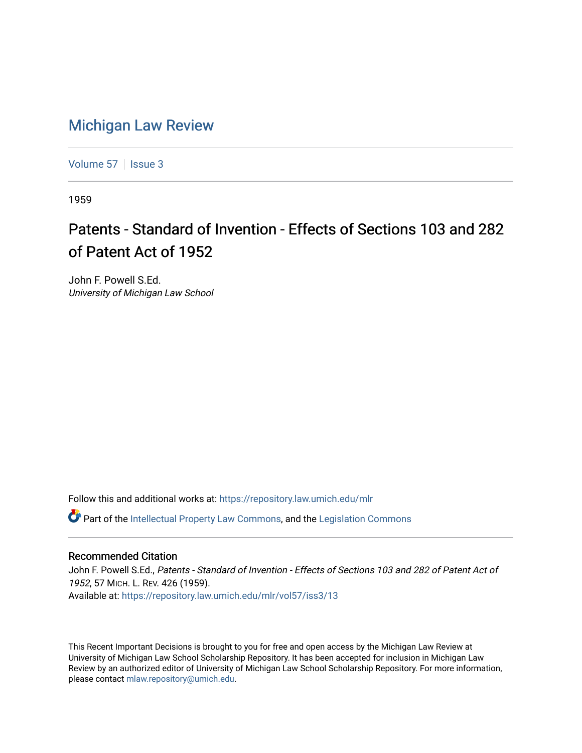## [Michigan Law Review](https://repository.law.umich.edu/mlr)

[Volume 57](https://repository.law.umich.edu/mlr/vol57) | [Issue 3](https://repository.law.umich.edu/mlr/vol57/iss3)

1959

## Patents - Standard of Invention - Effects of Sections 103 and 282 of Patent Act of 1952

John F. Powell S.Ed. University of Michigan Law School

Follow this and additional works at: [https://repository.law.umich.edu/mlr](https://repository.law.umich.edu/mlr?utm_source=repository.law.umich.edu%2Fmlr%2Fvol57%2Fiss3%2F13&utm_medium=PDF&utm_campaign=PDFCoverPages) 

 $\bullet$  Part of the [Intellectual Property Law Commons,](http://network.bepress.com/hgg/discipline/896?utm_source=repository.law.umich.edu%2Fmlr%2Fvol57%2Fiss3%2F13&utm_medium=PDF&utm_campaign=PDFCoverPages) and the Legislation Commons

## Recommended Citation

John F. Powell S.Ed., Patents - Standard of Invention - Effects of Sections 103 and 282 of Patent Act of 1952, 57 MICH. L. REV. 426 (1959). Available at: [https://repository.law.umich.edu/mlr/vol57/iss3/13](https://repository.law.umich.edu/mlr/vol57/iss3/13?utm_source=repository.law.umich.edu%2Fmlr%2Fvol57%2Fiss3%2F13&utm_medium=PDF&utm_campaign=PDFCoverPages) 

This Recent Important Decisions is brought to you for free and open access by the Michigan Law Review at University of Michigan Law School Scholarship Repository. It has been accepted for inclusion in Michigan Law Review by an authorized editor of University of Michigan Law School Scholarship Repository. For more information, please contact [mlaw.repository@umich.edu.](mailto:mlaw.repository@umich.edu)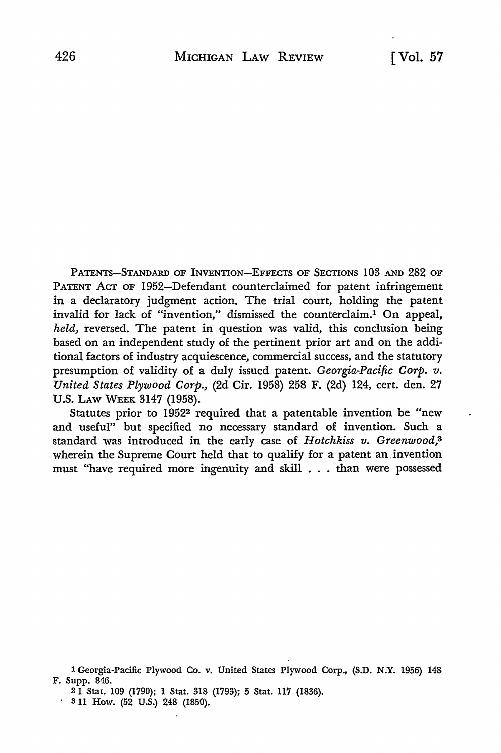PATENTS-STANDARD OF INVENTION-EFFECTS OF SECTIONS 103 AND 282 OF PATENT ACT OF 1952-Defendant counterclaimed for patent infringement in a declaratory judgment action. The trial court, holding the patent invalid for lack of "invention," dismissed the counterclaim.1 On appeal, *held,* reversed. The patent in question was valid, this conclusion being based on an independent study of the pertinent prior art and on the additional factors of industry acquiescence, commercial success, and the statutory presumption of validity of a duly issued patent. *Georgia-Pacific Corp. v. United States Plywood Corp.,* (2d Cir. 1958) 258 F. (2d) 124, cert. den. 27 U.S. LAW WEEK 3147 (1958).

Statutes prior to 1952<sup>2</sup> required that a patentable invention be "new and useful" but specified no necessary standard of invention. Such a standard was introduced in the early case of *Hotchkiss v. Greenwood,*<sup>3</sup> wherein the Supreme Court held that to qualify for a patent an. invention must "have required more ingenuity and skill . . . than were possessed

1 Georgia-Pacific Plywood Co. v. United States Plywood Corp., (S.D. N.Y. 1956) 148 F. Supp. 846.

2 1 Stat. 109 (1790); 1 Stat. 318 (1793); 5 Stat. 117 (1836).

 $\cdot$  3 11 How. (52 U.S.) 248 (1850).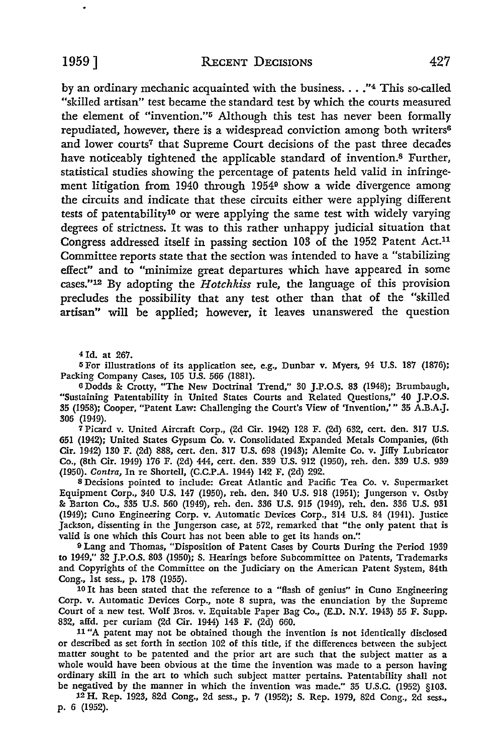by an ordinary mechanic acquainted with the business.  $\ldots$ ."<sup>4</sup> This so-called "skilled artisan" test became the standard test by which the courts measured the element of "invention."5 Although this test has never been formally repudiated, however, there is a widespread conviction among both writers<sup>6</sup> and lower courts<sup>7</sup> that Supreme Court decisions of the past three decades have noticeably tightened the applicable standard of invention.8 Further, statistical studies showing the percentage of patents held valid in infringement litigation from 1940 through 19549 show a wide divergence among the circuits and indicate that these circuits either were applying different tests of patentability10 or were applying the same test with widely varying degrees of strictness. It was to this rather unhappy judicial situation that Congress addressed itself in passing section 103 of the 1952 Patent Act.11 Committee reports state that the section was intended to have a "stabilizing effect" and to "minimize great departures which have appeared in some cases."12 By adopting the *Hotchkiss* rule, the language of this provision precludes the possibility that any test other than that of the "skilled artisan" will be applied; however, it leaves unanswered the question

<sup>4</sup>Id. at 267.

<sup>5</sup> For illustrations of its application see, e.g., Dunbar v. Myers, 94 U.S. 187 (1876); Packing Company Cases, 105 U.S. 566 (1881).

<sup>6</sup>Dodds & Crotty, "The New Doctrinal Trend," 30 J.P.O.S. 83 (1948); Brumbaugh, "Sustaining Patentability in United States Courts and Related Questions," 40 J.P.O.S. 35 (1958); Cooper, "Patent Law: Challenging the Court's View of 'Invention,"' 35 A.B.A.J. 306 (1949).

7 Picard v. United Aircraft Corp., (2d Cir. 1942) 128 F. (2d) 632, cert. den. 317 U.S. 651 (1942); United States Gypsum Co. v. Consolidated Expanded Metals Companies, (6th Cir. 1942) 130 F. (2d) 888, cert. den. 317 U.S. 698 (1943); Alemite Co. v. Jiffy Lubricator Co., (8th Cir. 1949) 176 F. (2d) 444, cert. den. 339 U.S. 912 (1950), reh. den. 339 U.S. 939 (1950). *Contra,* In re Shortell, (C.C.P.A. 1944) 142 F. (2d) 292.

<sup>8</sup>Decisions pointed to include: Great Atlantic and Pacific Tea Co. v. Supermarket Equipment Corp., 340 U.S. 147 (1950), reh. den. 340 U.S. 918 (1951); Jungerson v. Ostby & Barton Co., 335 U.S. 560 (1949), reh. den. 336 U.S. 915 (1949), reh. den. 336 U.S. 931 (1949); Cuno Engineering Corp. v. Automatic Devices Corp., 314 U.S. 84 (1941). Justice Jackson, dissenting in the Jungerson case, at 572, remarked that "the only patent that is valid is one which this Court has not been able to get its hands on.''.

9 Lang and Thomas, "Disposition of Patent Cases by Courts During the Period 1939 to 1949," 32 J.P.O.S. 803 (1950); S. Hearings before Subcommittee on Patents, Trademarks and Copyrights of the Committee on the Judiciary on the American Patent System, 84th Cong., 1st sess., p. 178 (1955).

10 It has been stated that the reference to a "flash of genius" in Cuno Engineering Corp. v. Automatic Devices Corp., note 8 supra, was the enunciation by the Supreme Court of a new test. Wolf Bros. v. Equitable Paper Bag Co., (E.D. N.Y. 1943) 55 F. Supp. 832, affd. per curiam (2d Cir. 1944) 143 F. (2d) 660.

11 "A patent may not be obtained though the invention is not identically disclosed or described as set forth in section 102 of this title, if the differences between the subject matter sought to be patented and the prior art are such that the subject matter as a whole would have been obvious at the time the invention was made to a person having ordinary skill in the art to which such subject matter pertains. Patentability shall not be negatived by the manner in which the invention was made.'' 35 U.S.C. (1952) §103.

12 H. Rep. 1923, 82d Cong., 2d sess., p. 7 (1952); S. Rep. 1979, 82d Cong., 2d sess., p. 6 (1952).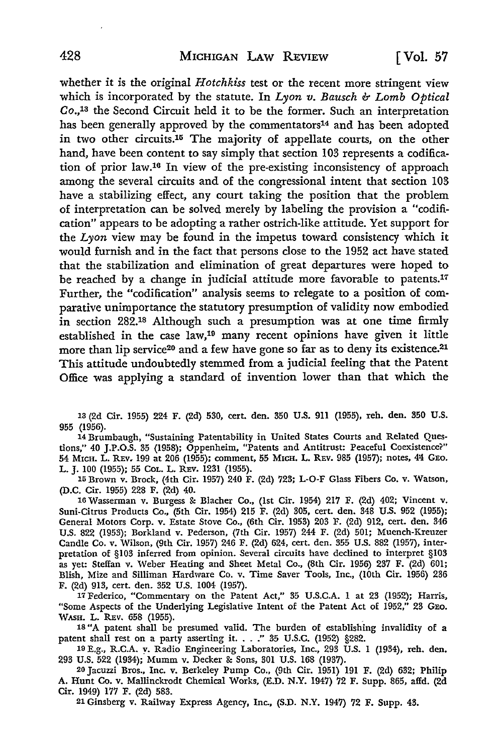whether it is the original *Hotchkiss* test or the recent more stringent view which is incorporated by the statute. In *Lyon v. Bausch & Lomb Optical*  Co.,13 the Second Circuit held it to be the former. Such an interpretation has been generally approved by the commentators<sup>14</sup> and has been adopted in two other circuits.<sup>15</sup> The majority of appellate courts, on the other hand, have been content to say simply that section 103 represents a codification of prior law.16 In view of the pre-existing inconsistency of approach among the several circuits and of the congressional intent that section 103 have a stabilizing effect, any court taking the position that the problem of interpretation can be solved merely by labeling the provision a "codification" appears to be adopting a rather ostrich-like attitude. Yet support for the *Lyon* view may be found in the impetus toward consistency which it would furnish and in the fact that persons close to the 1952 act have stated that the stabilization and elimination of great departures were hoped to be reached by a change in judicial attitude more favorable to patents.<sup>17</sup> Further, the "codification" analysis seems to relegate to a position of comparative unimportance the statutory presumption of validity now embodied in section 282.18 Although such a presumption was at one time firmly established in the case law,19 many recent opinions have given it little more than lip service<sup>20</sup> and a few have gone so far as to deny its existence.<sup>21</sup> This attitude undoubtedly stemmed from a judicial feeling that the Patent Office was applying a standard of invention lower than that which the

13 (2d Cir. 1955) 224 F. (2d) 530, cert. den. 350 U.S. 911 (1955), reh. den. 350 U.S. 955 (1956).

14 Brumbaugh, "Sustaining Patentability in United States Courts and Related Questions," 40 J.P.O.S. 35 (1958); Oppenheim, "Patents and Antitrust: Peaceful Coexistence?" 54 MICH. L. REv. 199 at 206 (1955); comment, 55 MICH. L. REv. 985 (1957); notes, 41! GEO. L. J. 100 (1955); 55 CoL. L. REv. 1231 (1955).

15 Brown v. Brock, (4th Cir. 1957) 240 F. (2d) 723; L-O-F Glass Fibers Co. v. Watson, (D.C. Cir. 1955) 228 F. (2d) 40.

16 Wasserman v. Burgess &: Blacher Co., (1st Cir. 1954) 217 F. (2d) 402; Vincent v. Suni-Citrus Products Co., (5th Cir. 1954) 215 F. (2d) 305, cert. den. 348 U.S. 952 (1955); General Motors Corp. v. Estate Stove Co., (6th Cir. 1953) 203 F. (2d) 912, cert. den. 346 U.S. 822 (1953); Borkland v. Pederson, (7th Cir. 1957) 244 F. (2d) 501; Muench-Kreuzer Candle Co. v. Wilson, (9th Cir. 1957) 246 F. (2d) 624, cert. den. 355 U.S. 882 (1957), interpretation of §103 inferred from opinion. Several circuits have declined to interpret §103 as yet: Steffan v. Weber Heating and Sheet Metal Co., (8th Cir. 1956) 237 F. (2d) 601; Blish, Mize and Silliman Hardware Co. v. Time Saver Tools, Inc., (10th Cir. 1956) 236 F. (2d) 913, cert. den. 352 U.S. 1004 (1957).

17 Federico, "Commentary on the Patent Act," 35 U.S.C.A. 1 at 23 (1952); Harris, "Some Aspects of the Underlying Legislative Intent of the Patent Act of 1952," 23 GEo. WASH. L. REv. 658 (1955).

1s "A patent shall be presumed valid. The burden of establishing invalidity of a 18 A patent shall be presumed valid. The burden of establishing invalidity of a patent shall rest on a party asserting it. . .." 35 U.S.C. (1952) §282. 1984), reh. den. 19 E.g., R.C.A. y. Radio Engineering Laboratories, In

293 U.S. 522 (1934); Mumm v. Decker &: Sons, 301 U.S. 168 (1937).

20 Jacuzzi Bros., Inc. v. Berkeley Pump Co., (9th Cir. 1951) 191 F. (2d) 632; Philip A. Hunt Co. v. Mallinckrodt Chemical Works, (E.D. N.Y. 1947) 72 F. Supp. 865, affd. (2d Cir. 1949) 177 F. (2d) 583.

21 Ginsberg v. Railway Express Agency, Inc., (S.D. N.Y. 1947) 72 F. Supp. 43.